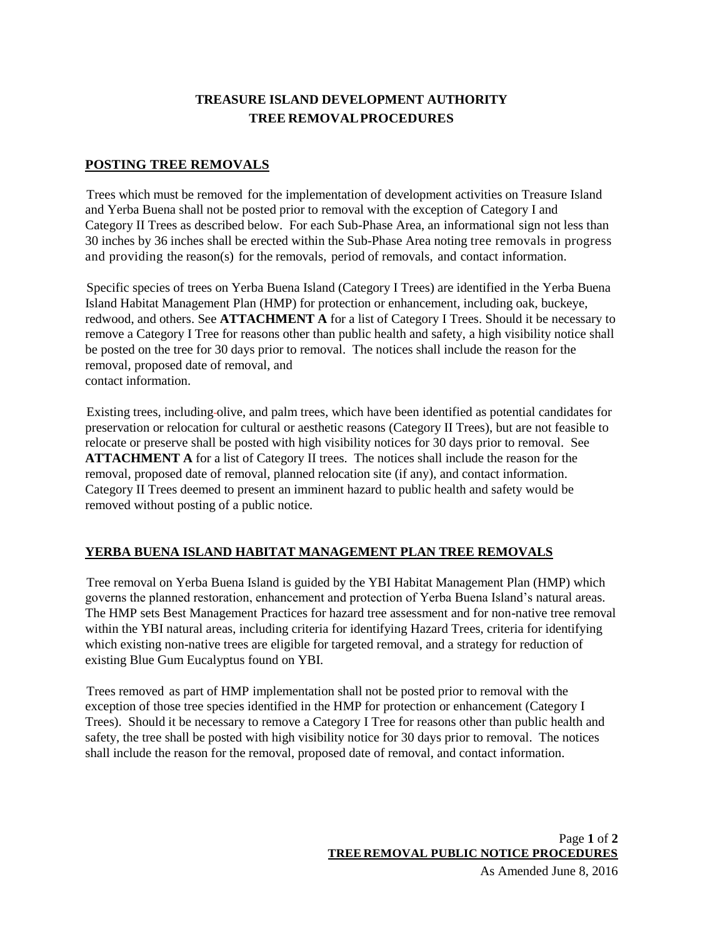### **TREASURE ISLAND DEVELOPMENT AUTHORITY TREE REMOVALPROCEDURES**

### **POSTING TREE REMOVALS**

Trees which must be removed for the implementation of development activities on Treasure Island and Yerba Buena shall not be posted prior to removal with the exception of Category I and Category II Trees as described below. For each Sub-Phase Area, an informational sign not less than 30 inches by 36 inches shall be erected within the Sub-Phase Area noting tree removals in progress and providing the reason(s) for the removals, period of removals, and contact information.

Specific species of trees on Yerba Buena Island (Category I Trees) are identified in the Yerba Buena Island Habitat Management Plan (HMP) for protection or enhancement, including oak, buckeye, redwood, and others. See **ATTACHMENT A** for a list of Category I Trees. Should it be necessary to remove a Category I Tree for reasons other than public health and safety, a high visibility notice shall be posted on the tree for 30 days prior to removal. The notices shall include the reason for the removal, proposed date of removal, and contact information.

Existing trees, including olive, and palm trees, which have been identified as potential candidates for preservation or relocation for cultural or aesthetic reasons (Category II Trees), but are not feasible to relocate or preserve shall be posted with high visibility notices for 30 days prior to removal. See **ATTACHMENT A** for a list of Category II trees. The notices shall include the reason for the removal, proposed date of removal, planned relocation site (if any), and contact information. Category II Trees deemed to present an imminent hazard to public health and safety would be removed without posting of a public notice.

### **YERBA BUENA ISLAND HABITAT MANAGEMENT PLAN TREE REMOVALS**

Tree removal on Yerba Buena Island is guided by the YBI Habitat Management Plan (HMP) which governs the planned restoration, enhancement and protection of Yerba Buena Island's natural areas. The HMP sets Best Management Practices for hazard tree assessment and for non-native tree removal within the YBI natural areas, including criteria for identifying Hazard Trees, criteria for identifying which existing non-native trees are eligible for targeted removal, and a strategy for reduction of existing Blue Gum Eucalyptus found on YBI.

Trees removed as part of HMP implementation shall not be posted prior to removal with the exception of those tree species identified in the HMP for protection or enhancement (Category I Trees). Should it be necessary to remove a Category I Tree for reasons other than public health and safety, the tree shall be posted with high visibility notice for 30 days prior to removal. The notices shall include the reason for the removal, proposed date of removal, and contact information.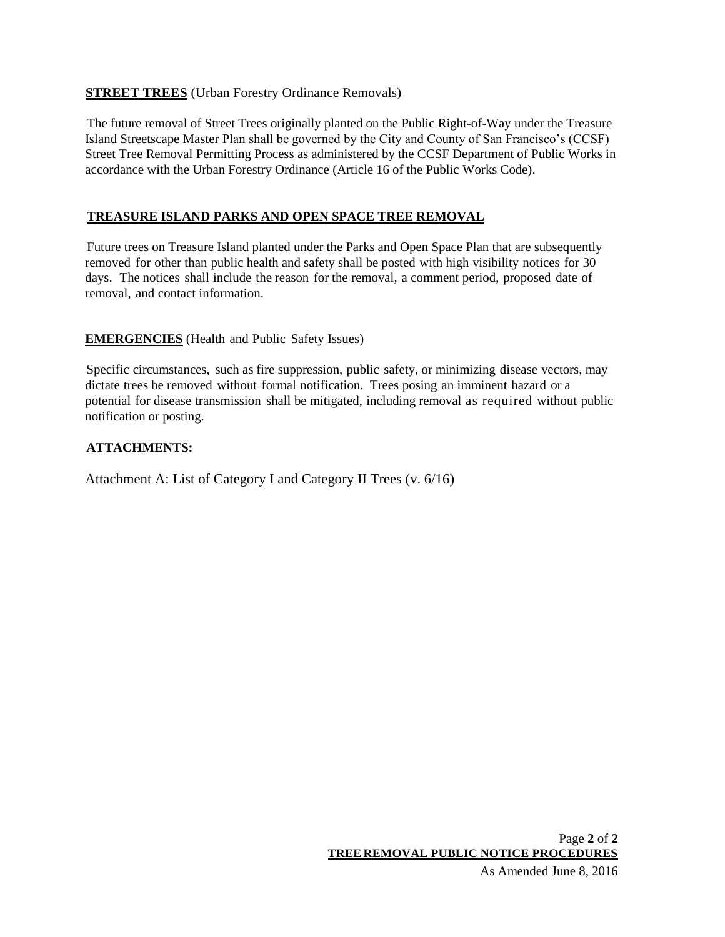### **STREET TREES** (Urban Forestry Ordinance Removals)

The future removal of Street Trees originally planted on the Public Right-of-Way under the Treasure Island Streetscape Master Plan shall be governed by the City and County of San Francisco's (CCSF) Street Tree Removal Permitting Process as administered by the CCSF Department of Public Works in accordance with the Urban Forestry Ordinance (Article 16 of the Public Works Code).

### **TREASURE ISLAND PARKS AND OPEN SPACE TREE REMOVAL**

Future trees on Treasure Island planted under the Parks and Open Space Plan that are subsequently removed for other than public health and safety shall be posted with high visibility notices for 30 days. The notices shall include the reason for the removal, a comment period, proposed date of removal, and contact information.

### **EMERGENCIES** (Health and Public Safety Issues)

Specific circumstances, such as fire suppression, public safety, or minimizing disease vectors, may dictate trees be removed without formal notification. Trees posing an imminent hazard or a potential for disease transmission shall be mitigated, including removal as required without public notification or posting.

### **ATTACHMENTS:**

Attachment A: List of Category I and Category II Trees (v. 6/16)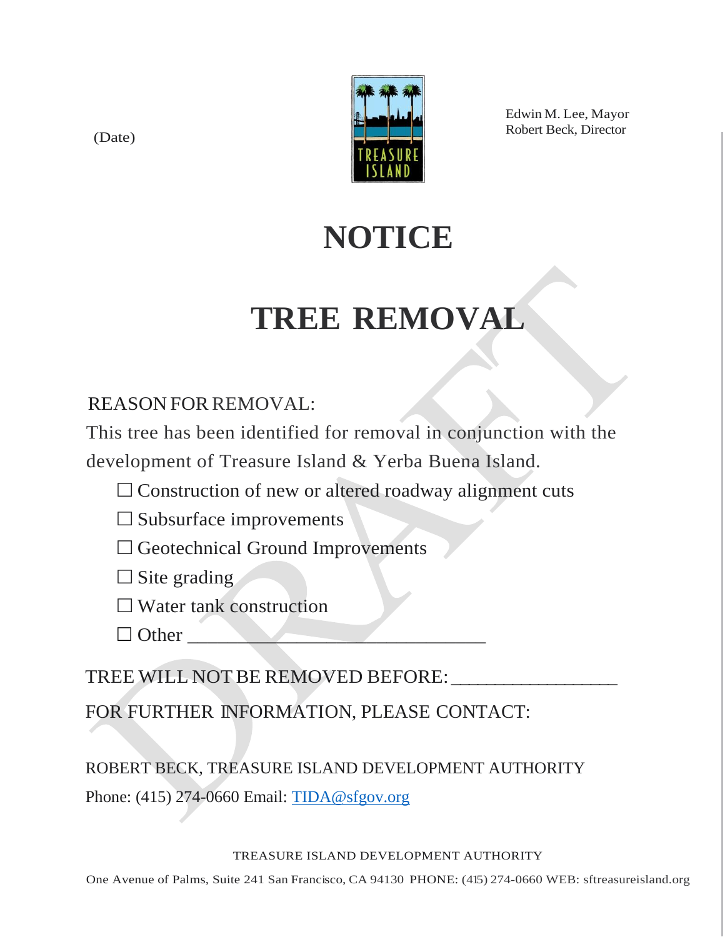(Date)



Edwin M. Lee, Mayor Robert Beck, Director

# **NOTICE**

# **TREE REMOVAL**

## REASON FOR REMOVAL:

This tree has been identified for removal in conjunction with the development of Treasure Island & Yerba Buena Island.

- $\Box$  Construction of new or altered roadway alignment cuts
- $\square$  Subsurface improvements

 $\square$  Geotechnical Ground Improvements

 $\Box$  Site grading

 $\Box$  Water tank construction

 $\Box$  Other

TREE WILL NOT BE REMOVED BEFORE:

FOR FURTHER INFORMATION, PLEASE CONTACT:

ROBERT BECK, TREASURE ISLAND DEVELOPMENT AUTHORITY

Phone: (415) 274-0660 Email: [TIDA@sfgov.org](mailto:TIDA@sfgov.org)

TREASURE ISLAND DEVELOPMENT AUTHORITY

One Avenue of Palms, Suite 241 San Francisco, CA 94130 PHONE: (415) 274-0660 WEB: sftreasureisland.org